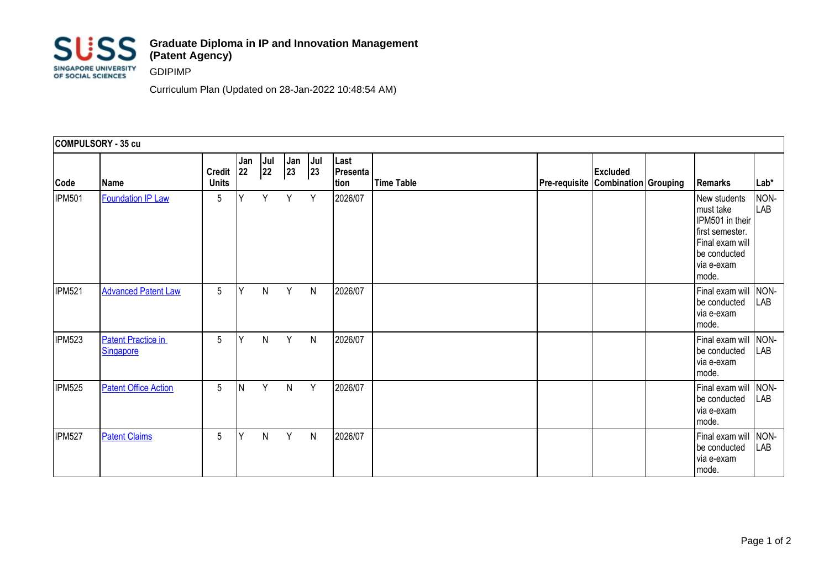

## **Graduate Diploma in IP and Innovation Management (Patent Agency)**

GDIPIMP

Curriculum Plan (Updated on 28-Jan-2022 10:48:54 AM)

| COMPULSORY - 35 cu |                                        |                               |            |           |              |            |                          |                   |                                                                  |  |                                                                                                                           |                    |
|--------------------|----------------------------------------|-------------------------------|------------|-----------|--------------|------------|--------------------------|-------------------|------------------------------------------------------------------|--|---------------------------------------------------------------------------------------------------------------------------|--------------------|
| Code               | <b>Name</b>                            | <b>Credit</b><br><b>Units</b> | Jan<br> 22 | Jul<br>22 | Jan<br>23    | Jul<br> 23 | Last<br>Presenta<br>tion | <b>Time Table</b> | <b>Excluded</b><br><b>Pre-requisite   Combination   Grouping</b> |  | Remarks                                                                                                                   | $Lab*$             |
| <b>IPM501</b>      | <b>Foundation IP Law</b>               | 5                             | Y          | Y         | Y            | Y          | 2026/07                  |                   |                                                                  |  | New students<br>must take<br>IPM501 in their<br>first semester.<br>Final exam will<br>be conducted<br>via e-exam<br>mode. | NON-<br><b>LAB</b> |
| <b>IPM521</b>      | <b>Advanced Patent Law</b>             | 5                             | Y          | N         | Y            | N          | 2026/07                  |                   |                                                                  |  | Final exam will NON-<br>be conducted<br>via e-exam<br>mode.                                                               | LAB                |
| <b>IPM523</b>      | <b>Patent Practice in</b><br>Singapore | 5                             | Y          | N         | Y            | N          | 2026/07                  |                   |                                                                  |  | Final exam will<br>be conducted<br>via e-exam<br>mode.                                                                    | NON-<br>LAB        |
| <b>IPM525</b>      | <b>Patent Office Action</b>            | 5                             | N          | Y         | $\mathsf{N}$ | Y          | 2026/07                  |                   |                                                                  |  | Final exam will<br>be conducted<br>via e-exam<br>mode.                                                                    | NON-<br>LAB        |
| <b>IPM527</b>      | <b>Patent Claims</b>                   | 5                             | Y          | N         | Y            | N          | 2026/07                  |                   |                                                                  |  | Final exam will<br>be conducted<br>via e-exam<br>Imode.                                                                   | NON-<br>LAB        |